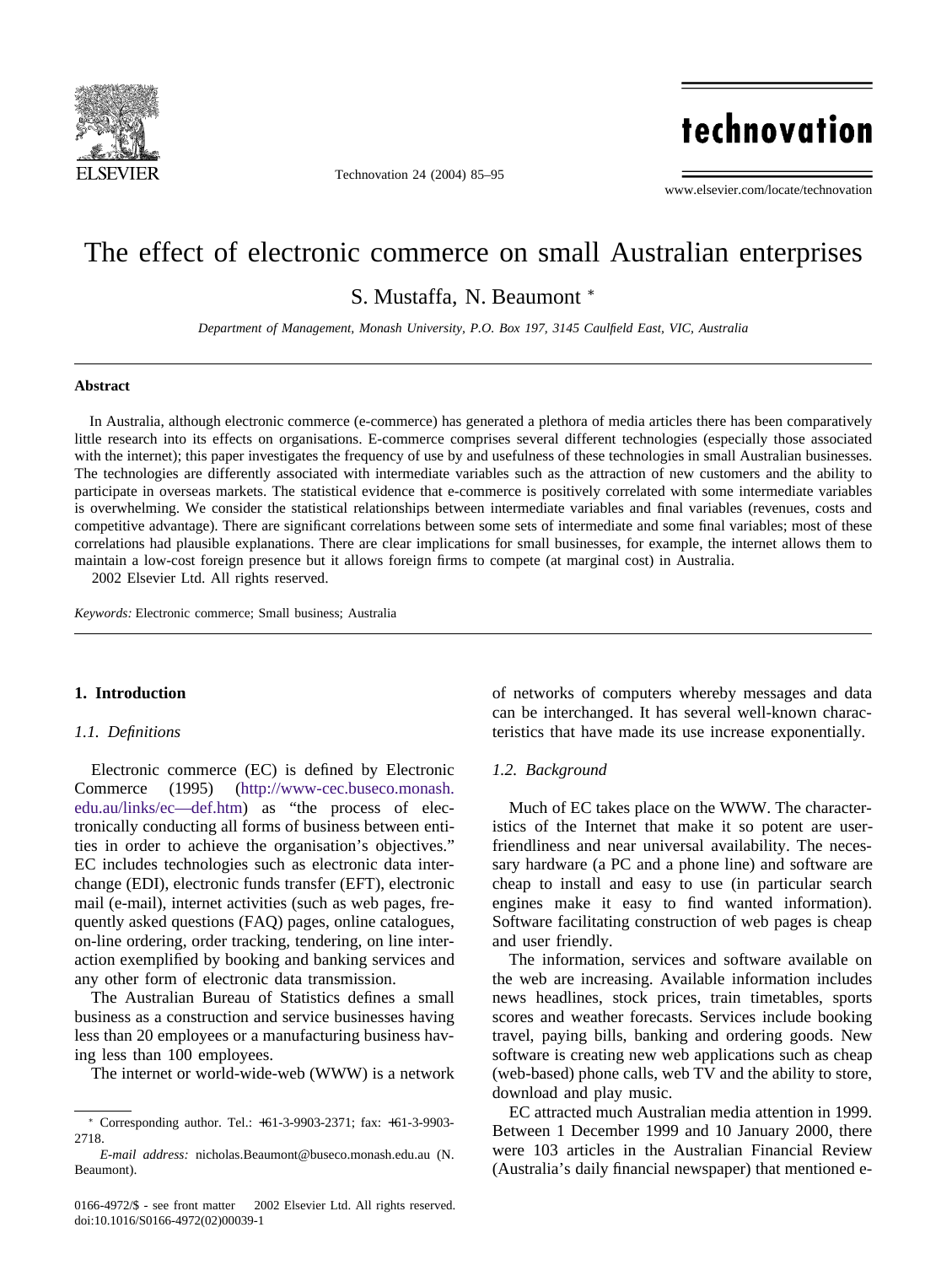

Technovation 24 (2004) 85–95

# technovation

www.elsevier.com/locate/technovation

### The effect of electronic commerce on small Australian enterprises

S. Mustaffa, N. Beaumont <sup>∗</sup>

*Department of Management, Monash University, P.O. Box 197, 3145 Caulfield East, VIC, Australia*

#### **Abstract**

In Australia, although electronic commerce (e-commerce) has generated a plethora of media articles there has been comparatively little research into its effects on organisations. E-commerce comprises several different technologies (especially those associated with the internet); this paper investigates the frequency of use by and usefulness of these technologies in small Australian businesses. The technologies are differently associated with intermediate variables such as the attraction of new customers and the ability to participate in overseas markets. The statistical evidence that e-commerce is positively correlated with some intermediate variables is overwhelming. We consider the statistical relationships between intermediate variables and final variables (revenues, costs and competitive advantage). There are significant correlations between some sets of intermediate and some final variables; most of these correlations had plausible explanations. There are clear implications for small businesses, for example, the internet allows them to maintain a low-cost foreign presence but it allows foreign firms to compete (at marginal cost) in Australia. 2002 Elsevier Ltd. All rights reserved.

*Keywords:* Electronic commerce; Small business; Australia

### **1. Introduction**

#### *1.1. Definitions*

Electronic commerce (EC) is defined by Electronic Commerce (1995) [\(http://www-cec.buseco.monash.](http://www-cec.buseco.monash.edu.au/links/ec_def.htm) [edu.au/links/ec—def.htm\)](http://www-cec.buseco.monash.edu.au/links/ec_def.htm) as "the process of electronically conducting all forms of business between entities in order to achieve the organisation's objectives." EC includes technologies such as electronic data interchange (EDI), electronic funds transfer (EFT), electronic mail (e-mail), internet activities (such as web pages, frequently asked questions (FAQ) pages, online catalogues, on-line ordering, order tracking, tendering, on line interaction exemplified by booking and banking services and any other form of electronic data transmission.

The Australian Bureau of Statistics defines a small business as a construction and service businesses having less than 20 employees or a manufacturing business having less than 100 employees.

The internet or world-wide-web (WWW) is a network

of networks of computers whereby messages and data can be interchanged. It has several well-known characteristics that have made its use increase exponentially.

#### *1.2. Background*

Much of EC takes place on the WWW. The characteristics of the Internet that make it so potent are userfriendliness and near universal availability. The necessary hardware (a PC and a phone line) and software are cheap to install and easy to use (in particular search engines make it easy to find wanted information). Software facilitating construction of web pages is cheap and user friendly.

The information, services and software available on the web are increasing. Available information includes news headlines, stock prices, train timetables, sports scores and weather forecasts. Services include booking travel, paying bills, banking and ordering goods. New software is creating new web applications such as cheap (web-based) phone calls, web TV and the ability to store, download and play music.

EC attracted much Australian media attention in 1999. Between 1 December 1999 and 10 January 2000, there were 103 articles in the Australian Financial Review (Australia's daily financial newspaper) that mentioned e-

<sup>∗</sup> Corresponding author. Tel.: +61-3-9903-2371; fax: +61-3-9903- 2718.

*E-mail address:* nicholas.Beaumont@buseco.monash.edu.au (N. Beaumont).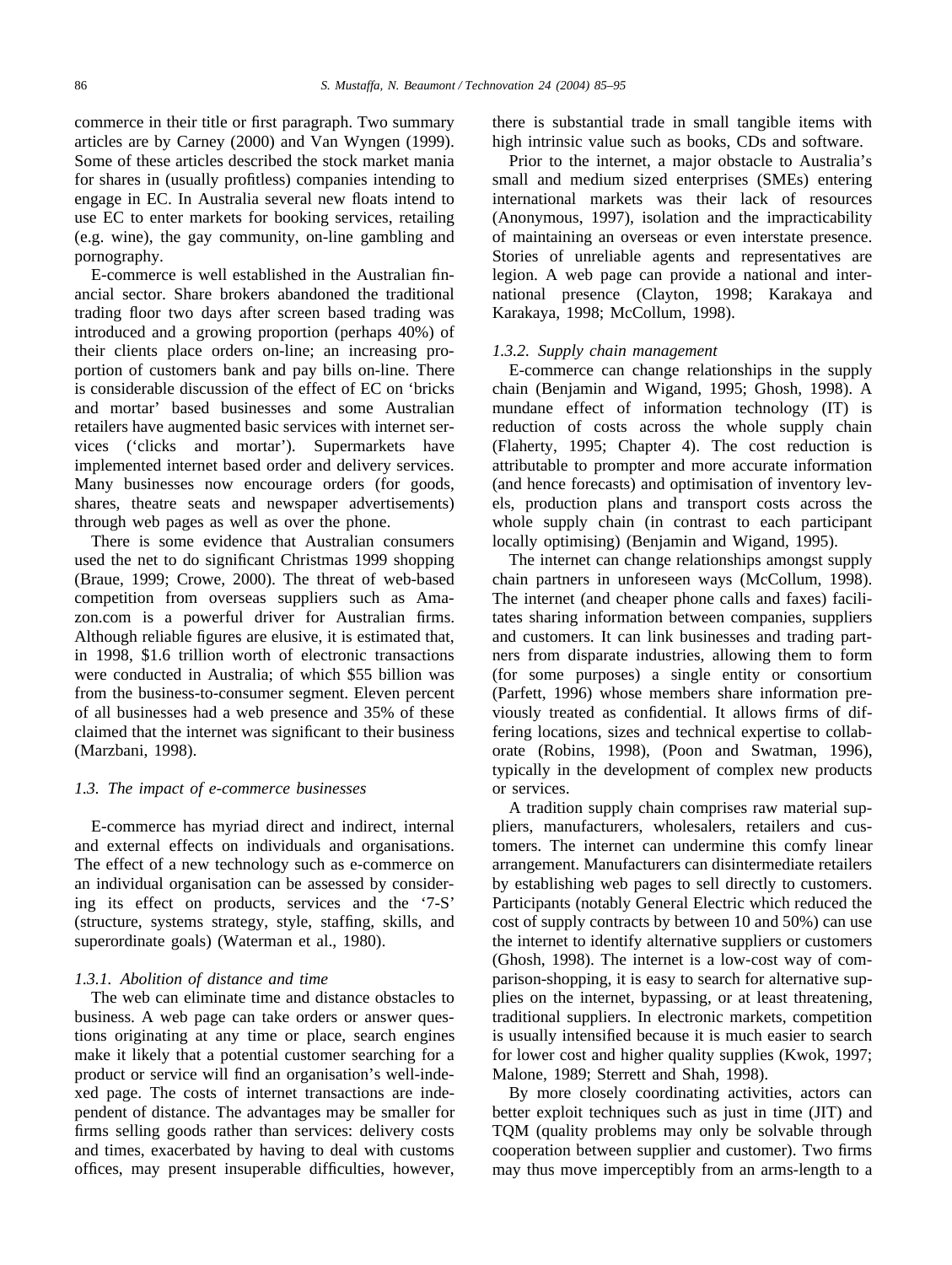commerce in their title or first paragraph. Two summary articles are by Carney (2000) and Van Wyngen (1999). Some of these articles described the stock market mania for shares in (usually profitless) companies intending to engage in EC. In Australia several new floats intend to use EC to enter markets for booking services, retailing (e.g. wine), the gay community, on-line gambling and pornography.

E-commerce is well established in the Australian financial sector. Share brokers abandoned the traditional trading floor two days after screen based trading was introduced and a growing proportion (perhaps 40%) of their clients place orders on-line; an increasing proportion of customers bank and pay bills on-line. There is considerable discussion of the effect of EC on 'bricks and mortar' based businesses and some Australian retailers have augmented basic services with internet services ('clicks and mortar'). Supermarkets have implemented internet based order and delivery services. Many businesses now encourage orders (for goods, shares, theatre seats and newspaper advertisements) through web pages as well as over the phone.

There is some evidence that Australian consumers used the net to do significant Christmas 1999 shopping (Braue, 1999; Crowe, 2000). The threat of web-based competition from overseas suppliers such as Amazon.com is a powerful driver for Australian firms. Although reliable figures are elusive, it is estimated that, in 1998, \$1.6 trillion worth of electronic transactions were conducted in Australia; of which \$55 billion was from the business-to-consumer segment. Eleven percent of all businesses had a web presence and 35% of these claimed that the internet was significant to their business (Marzbani, 1998).

#### *1.3. The impact of e-commerce businesses*

E-commerce has myriad direct and indirect, internal and external effects on individuals and organisations. The effect of a new technology such as e-commerce on an individual organisation can be assessed by considering its effect on products, services and the '7-S' (structure, systems strategy, style, staffing, skills, and superordinate goals) (Waterman et al., 1980).

#### *1.3.1. Abolition of distance and time*

The web can eliminate time and distance obstacles to business. A web page can take orders or answer questions originating at any time or place, search engines make it likely that a potential customer searching for a product or service will find an organisation's well-indexed page. The costs of internet transactions are independent of distance. The advantages may be smaller for firms selling goods rather than services: delivery costs and times, exacerbated by having to deal with customs offices, may present insuperable difficulties, however, there is substantial trade in small tangible items with high intrinsic value such as books, CDs and software.

Prior to the internet, a major obstacle to Australia's small and medium sized enterprises (SMEs) entering international markets was their lack of resources (Anonymous, 1997), isolation and the impracticability of maintaining an overseas or even interstate presence. Stories of unreliable agents and representatives are legion. A web page can provide a national and international presence (Clayton, 1998; Karakaya and Karakaya, 1998; McCollum, 1998).

#### *1.3.2. Supply chain management*

E-commerce can change relationships in the supply chain (Benjamin and Wigand, 1995; Ghosh, 1998). A mundane effect of information technology (IT) is reduction of costs across the whole supply chain (Flaherty, 1995; Chapter 4). The cost reduction is attributable to prompter and more accurate information (and hence forecasts) and optimisation of inventory levels, production plans and transport costs across the whole supply chain (in contrast to each participant locally optimising) (Benjamin and Wigand, 1995).

The internet can change relationships amongst supply chain partners in unforeseen ways (McCollum, 1998). The internet (and cheaper phone calls and faxes) facilitates sharing information between companies, suppliers and customers. It can link businesses and trading partners from disparate industries, allowing them to form (for some purposes) a single entity or consortium (Parfett, 1996) whose members share information previously treated as confidential. It allows firms of differing locations, sizes and technical expertise to collaborate (Robins, 1998), (Poon and Swatman, 1996), typically in the development of complex new products or services.

A tradition supply chain comprises raw material suppliers, manufacturers, wholesalers, retailers and customers. The internet can undermine this comfy linear arrangement. Manufacturers can disintermediate retailers by establishing web pages to sell directly to customers. Participants (notably General Electric which reduced the cost of supply contracts by between 10 and 50%) can use the internet to identify alternative suppliers or customers (Ghosh, 1998). The internet is a low-cost way of comparison-shopping, it is easy to search for alternative supplies on the internet, bypassing, or at least threatening, traditional suppliers. In electronic markets, competition is usually intensified because it is much easier to search for lower cost and higher quality supplies (Kwok, 1997; Malone, 1989; Sterrett and Shah, 1998).

By more closely coordinating activities, actors can better exploit techniques such as just in time (JIT) and TQM (quality problems may only be solvable through cooperation between supplier and customer). Two firms may thus move imperceptibly from an arms-length to a